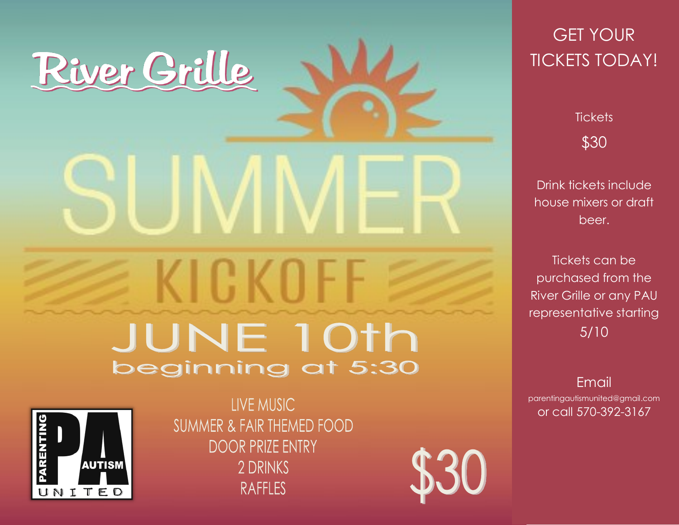## River Grille

## **KICKOF JUNE 10th** beginning at 5:30



LIVE MUSIC **SUMMER & FAIR THEMED FOOD DOOR PRIZE ENTRY** 2 DRINKS **RAFFLES** 



## GET YOUR TICKETS TODAY!

**Tickets** \$30

Drink tickets include house mixers or draft beer.

Tickets can be purchased from the River Grille or any PAU representative starting 5/10

Email parentingautismunited@gmail.com or call 570-392-3167